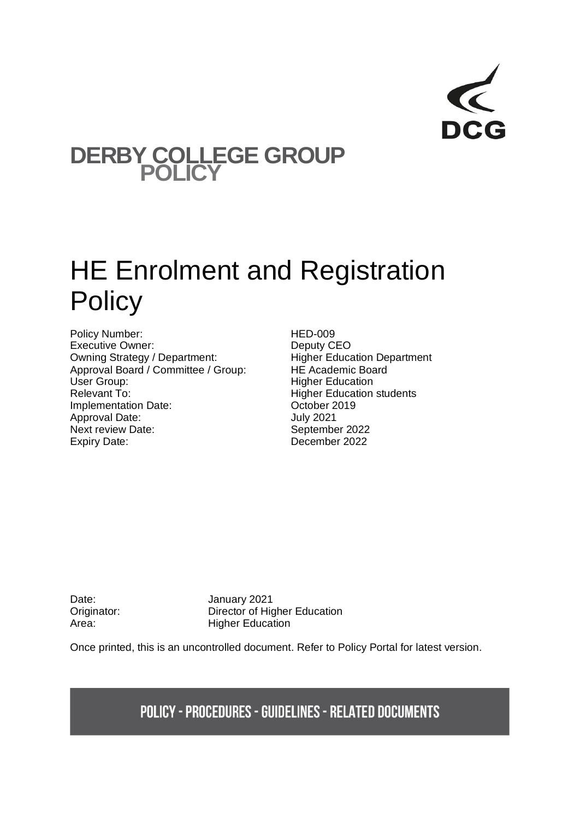## **DERBY COLLEGE GROUP POLICY**

# HE Enrolment and Registration **Policy**

Policy Number:<br>
Executive Owner:<br>
Executive Owner:<br>
CHEO Executive Owner:<br>
Owning Strategy / Department:<br>
Owning Strategy / Department:<br>
Higher Education Department Owning Strategy / Department: Higher Education De<br>
Approval Board / Committee / Group: HE Academic Board Approval Board / Committee / Group:<br>User Group: Relevant To: **Higher Education students** Implementation Date: Case Corrected by Corrected Unit October 2019 Approval Date: July 2021 Next review Date: September 2022 Expiry Date: December 2022

**Higher Education** 

Date: January 2021 Originator: Director of Higher Education Area: Higher Education

Once printed, this is an uncontrolled document. Refer to Policy Portal for latest version.

**POLICY - PROCEDURES - GUIDELINES - RELATED DOCUMENTS**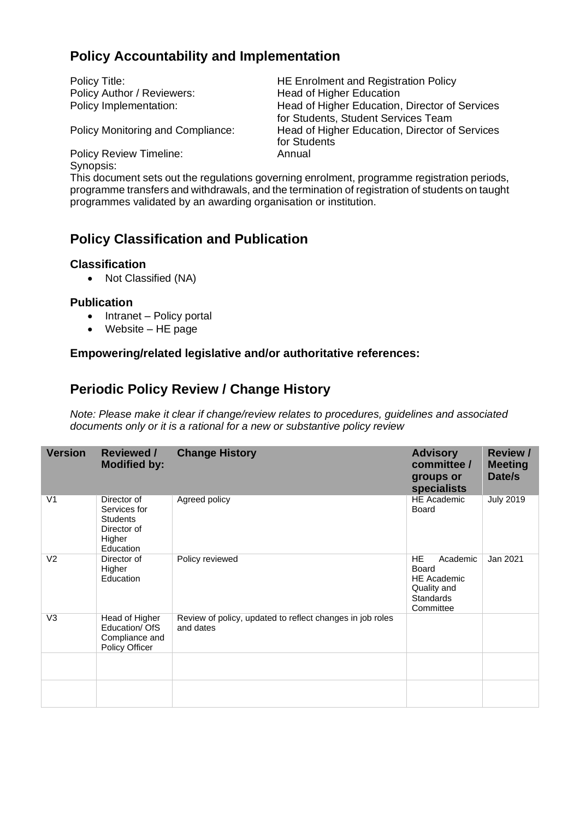### **Policy Accountability and Implementation**

Policy Author / Reviewers: Head of Higher Education

Policy Title: The Enrolment and Registration Policy Policy Implementation: Head of Higher Education, Director of Services for Students, Student Services Team Policy Monitoring and Compliance: Head of Higher Education, Director of Services for Students

Policy Review Timeline: Annual Synopsis:

This document sets out the regulations governing enrolment, programme registration periods, programme transfers and withdrawals, and the termination of registration of students on taught programmes validated by an awarding organisation or institution.

### **Policy Classification and Publication**

#### **Classification**

• Not Classified (NA)

#### **Publication**

- Intranet Policy portal
- Website HE page

#### **Empowering/related legislative and/or authoritative references:**

### **Periodic Policy Review / Change History**

*Note: Please make it clear if change/review relates to procedures, guidelines and associated documents only or it is a rational for a new or substantive policy review*

| <b>Version</b> | <b>Reviewed /</b><br><b>Modified by:</b>                                             | <b>Change History</b>                                                  | <b>Advisory</b><br>committee /<br>groups or<br>specialists                                                  | <b>Review /</b><br><b>Meeting</b><br>Date/s |
|----------------|--------------------------------------------------------------------------------------|------------------------------------------------------------------------|-------------------------------------------------------------------------------------------------------------|---------------------------------------------|
| V <sub>1</sub> | Director of<br>Services for<br><b>Students</b><br>Director of<br>Higher<br>Education | Agreed policy                                                          | <b>HE Academic</b><br><b>Board</b>                                                                          | <b>July 2019</b>                            |
| V <sub>2</sub> | Director of<br>Higher<br>Education                                                   | Policy reviewed                                                        | <b>HE</b><br>Academic<br><b>Board</b><br><b>HE Academic</b><br>Quality and<br><b>Standards</b><br>Committee | Jan 2021                                    |
| V <sub>3</sub> | Head of Higher<br>Education/ OfS<br>Compliance and<br>Policy Officer                 | Review of policy, updated to reflect changes in job roles<br>and dates |                                                                                                             |                                             |
|                |                                                                                      |                                                                        |                                                                                                             |                                             |
|                |                                                                                      |                                                                        |                                                                                                             |                                             |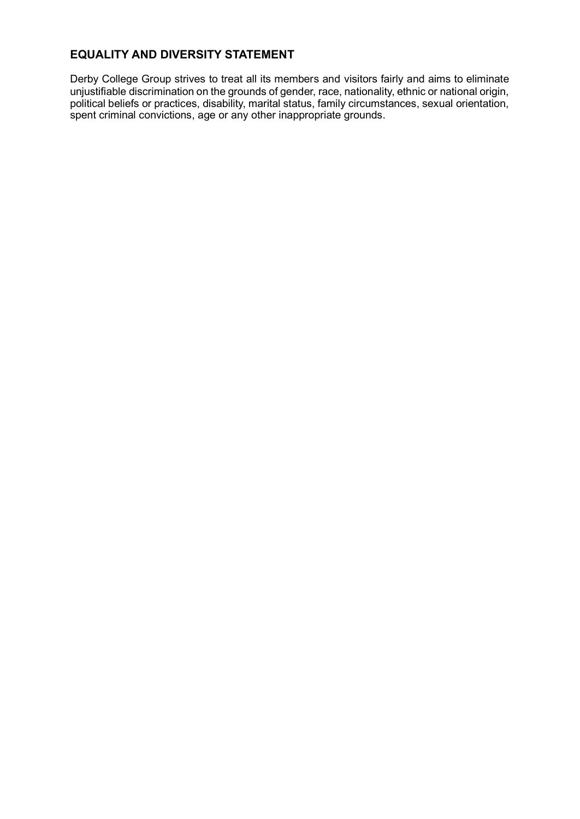### **EQUALITY AND DIVERSITY STATEMENT**

Derby College Group strives to treat all its members and visitors fairly and aims to eliminate unjustifiable discrimination on the grounds of gender, race, nationality, ethnic or national origin, political beliefs or practices, disability, marital status, family circumstances, sexual orientation, spent criminal convictions, age or any other inappropriate grounds.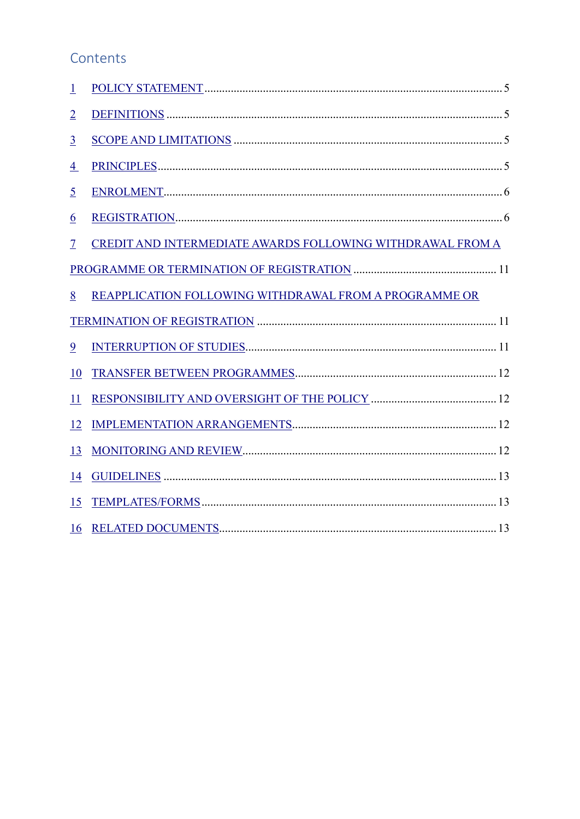### Contents

<span id="page-3-0"></span>

| $\mathbf{1}$             |                                                            |  |  |  |
|--------------------------|------------------------------------------------------------|--|--|--|
| $\overline{2}$           |                                                            |  |  |  |
| $\overline{3}$           |                                                            |  |  |  |
| $\overline{4}$           |                                                            |  |  |  |
| $\overline{5}$           |                                                            |  |  |  |
| <u>6</u>                 |                                                            |  |  |  |
| $\overline{\mathcal{I}}$ | CREDIT AND INTERMEDIATE AWARDS FOLLOWING WITHDRAWAL FROM A |  |  |  |
|                          |                                                            |  |  |  |
| 8                        | REAPPLICATION FOLLOWING WITHDRAWAL FROM A PROGRAMME OR     |  |  |  |
|                          |                                                            |  |  |  |
| 9                        |                                                            |  |  |  |
| 10                       |                                                            |  |  |  |
| 11                       |                                                            |  |  |  |
| 12                       |                                                            |  |  |  |
| 13                       |                                                            |  |  |  |
| 14                       |                                                            |  |  |  |
| 15                       |                                                            |  |  |  |
| 16                       |                                                            |  |  |  |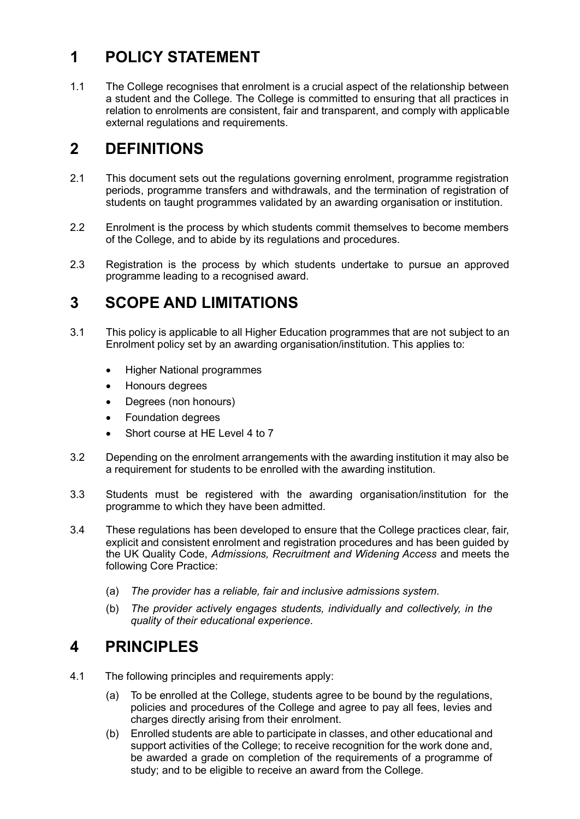### **1 POLICY STATEMENT**

1.1 The College recognises that enrolment is a crucial aspect of the relationship between a student and the College. The College is committed to ensuring that all practices in relation to enrolments are consistent, fair and transparent, and comply with applicable external regulations and requirements.

### <span id="page-4-0"></span>**2 DEFINITIONS**

- 2.1 This document sets out the regulations governing enrolment, programme registration periods, programme transfers and withdrawals, and the termination of registration of students on taught programmes validated by an awarding organisation or institution.
- 2.2 Enrolment is the process by which students commit themselves to become members of the College, and to abide by its regulations and procedures.
- 2.3 Registration is the process by which students undertake to pursue an approved programme leading to a recognised award.

### <span id="page-4-1"></span>**3 SCOPE AND LIMITATIONS**

- 3.1 This policy is applicable to all Higher Education programmes that are not subject to an Enrolment policy set by an awarding organisation/institution. This applies to:
	- Higher National programmes
	- Honours degrees
	- Degrees (non honours)
	- Foundation degrees
	- Short course at HE Level 4 to 7
- 3.2 Depending on the enrolment arrangements with the awarding institution it may also be a requirement for students to be enrolled with the awarding institution.
- 3.3 Students must be registered with the awarding organisation/institution for the programme to which they have been admitted.
- 3.4 These regulations has been developed to ensure that the College practices clear, fair, explicit and consistent enrolment and registration procedures and has been guided by the UK Quality Code, *Admissions, Recruitment and Widening Access* and meets the following Core Practice:
	- (a) *The provider has a reliable, fair and inclusive admissions system.*
	- (b) *The provider actively engages students, individually and collectively, in the quality of their educational experience.*

### <span id="page-4-2"></span>**4 PRINCIPLES**

- 4.1 The following principles and requirements apply:
	- (a) To be enrolled at the College, students agree to be bound by the regulations, policies and procedures of the College and agree to pay all fees, levies and charges directly arising from their enrolment.
	- (b) Enrolled students are able to participate in classes, and other educational and support activities of the College; to receive recognition for the work done and, be awarded a grade on completion of the requirements of a programme of study; and to be eligible to receive an award from the College.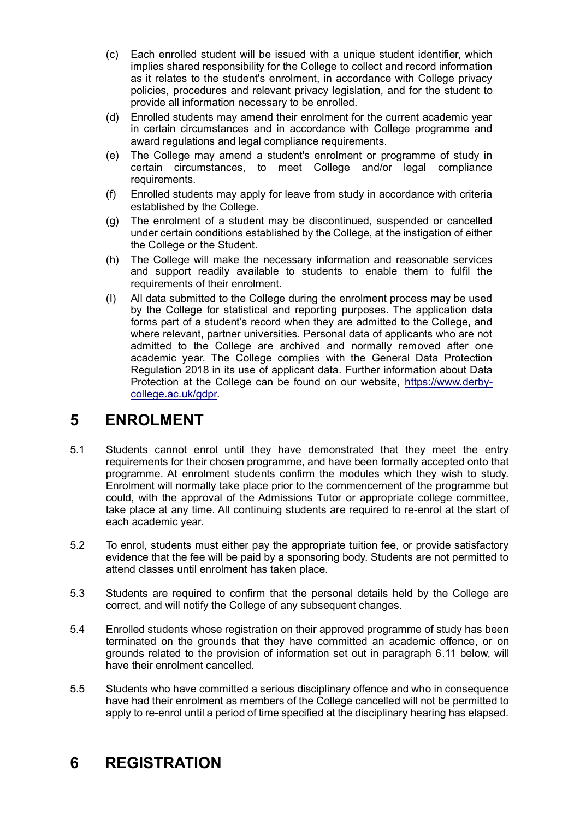- (c) Each enrolled student will be issued with a unique student identifier, which implies shared responsibility for the College to collect and record information as it relates to the student's enrolment, in accordance with College privacy policies, procedures and relevant privacy legislation, and for the student to provide all information necessary to be enrolled.
- (d) Enrolled students may amend their enrolment for the current academic year in certain circumstances and in accordance with College programme and award regulations and legal compliance requirements.
- (e) The College may amend a student's enrolment or programme of study in certain circumstances, to meet College and/or legal compliance requirements.
- (f) Enrolled students may apply for leave from study in accordance with criteria established by the College.
- (g) The enrolment of a student may be discontinued, suspended or cancelled under certain conditions established by the College, at the instigation of either the College or the Student.
- (h) The College will make the necessary information and reasonable services and support readily available to students to enable them to fulfil the requirements of their enrolment.
- (I) All data submitted to the College during the enrolment process may be used by the College for statistical and reporting purposes. The application data forms part of a student's record when they are admitted to the College, and where relevant, partner universities. Personal data of applicants who are not admitted to the College are archived and normally removed after one academic year. The College complies with the General Data Protection Regulation 2018 in its use of applicant data. Further information about Data Protection at the College can be found on our website, [https://www.derby](https://www.derby-college.ac.uk/gdpr)[college.ac.uk/gdpr.](https://www.derby-college.ac.uk/gdpr)

### <span id="page-5-0"></span>**5 ENROLMENT**

- 5.1 Students cannot enrol until they have demonstrated that they meet the entry requirements for their chosen programme, and have been formally accepted onto that programme. At enrolment students confirm the modules which they wish to study. Enrolment will normally take place prior to the commencement of the programme but could, with the approval of the Admissions Tutor or appropriate college committee, take place at any time. All continuing students are required to re-enrol at the start of each academic year.
- 5.2 To enrol, students must either pay the appropriate tuition fee, or provide satisfactory evidence that the fee will be paid by a sponsoring body. Students are not permitted to attend classes until enrolment has taken place.
- 5.3 Students are required to confirm that the personal details held by the College are correct, and will notify the College of any subsequent changes.
- 5.4 Enrolled students whose registration on their approved programme of study has been terminated on the grounds that they have committed an academic offence, or on grounds related to the provision of information set out in paragraph 6.11 below, will have their enrolment cancelled.
- 5.5 Students who have committed a serious disciplinary offence and who in consequence have had their enrolment as members of the College cancelled will not be permitted to apply to re-enrol until a period of time specified at the disciplinary hearing has elapsed.

### <span id="page-5-1"></span>**6 REGISTRATION**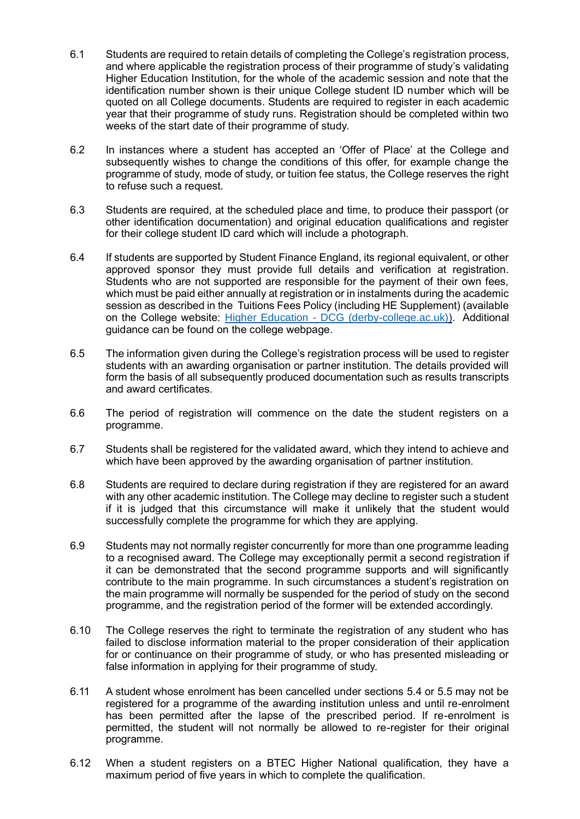- 6.1 Students are required to retain details of completing the College's registration process, and where applicable the registration process of their programme of study's validating Higher Education Institution, for the whole of the academic session and note that the identification number shown is their unique College student ID number which will be quoted on all College documents. Students are required to register in each academic year that their programme of study runs. Registration should be completed within two weeks of the start date of their programme of study.
- 6.2 In instances where a student has accepted an 'Offer of Place' at the College and subsequently wishes to change the conditions of this offer, for example change the programme of study, mode of study, or tuition fee status, the College reserves the right to refuse such a request.
- 6.3 Students are required, at the scheduled place and time, to produce their passport (or other identification documentation) and original education qualifications and register for their college student ID card which will include a photograph.
- 6.4 If students are supported by Student Finance England, its regional equivalent, or other approved sponsor they must provide full details and verification at registration. Students who are not supported are responsible for the payment of their own fees, which must be paid either annually at registration or in instalments during the academic session as described in the Tuitions Fees Policy (including HE Supplement) (available on the College website: Higher Education - [DCG \(derby-college.ac.uk\)](https://www.derby-college.ac.uk/course-types/higher-education/)[\).](https://www.derby-college.ac.uk/university-higher-education-undergraduate)) Additional guidance can be found on the college webpage.
- 6.5 The information given during the College's registration process will be used to register students with an awarding organisation or partner institution. The details provided will form the basis of all subsequently produced documentation such as results transcripts and award certificates.
- 6.6 The period of registration will commence on the date the student registers on a programme.
- 6.7 Students shall be registered for the validated award, which they intend to achieve and which have been approved by the awarding organisation of partner institution.
- 6.8 Students are required to declare during registration if they are registered for an award with any other academic institution. The College may decline to register such a student if it is judged that this circumstance will make it unlikely that the student would successfully complete the programme for which they are applying.
- 6.9 Students may not normally register concurrently for more than one programme leading to a recognised award. The College may exceptionally permit a second registration if it can be demonstrated that the second programme supports and will significantly contribute to the main programme. In such circumstances a student's registration on the main programme will normally be suspended for the period of study on the second programme, and the registration period of the former will be extended accordingly.
- 6.10 The College reserves the right to terminate the registration of any student who has failed to disclose information material to the proper consideration of their application for or continuance on their programme of study, or who has presented misleading or false information in applying for their programme of study.
- 6.11 A student whose enrolment has been cancelled under sections 5.4 or 5.5 may not be registered for a programme of the awarding institution unless and until re-enrolment has been permitted after the lapse of the prescribed period. If re-enrolment is permitted, the student will not normally be allowed to re-register for their original programme.
- 6.12 When a student registers on a BTEC Higher National qualification, they have a maximum period of five years in which to complete the qualification.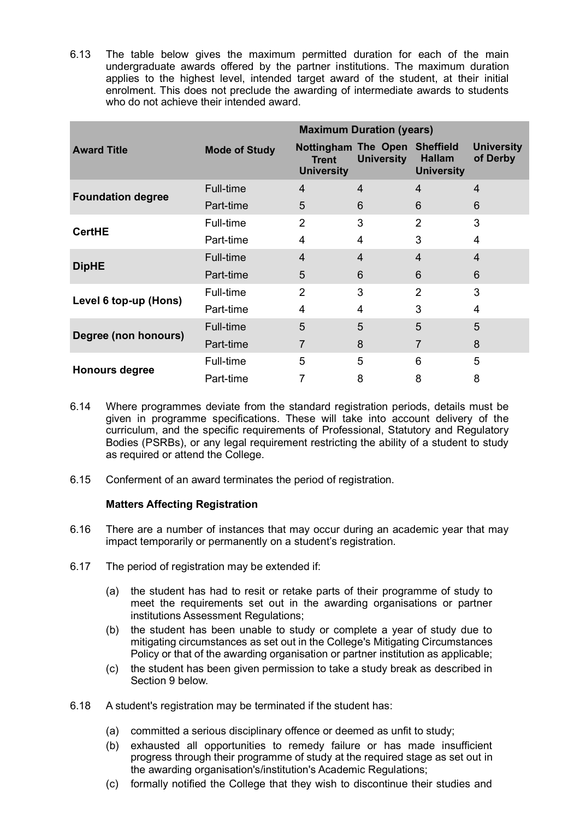6.13 The table below gives the maximum permitted duration for each of the main undergraduate awards offered by the partner institutions. The maximum duration applies to the highest level, intended target award of the student, at their initial enrolment. This does not preclude the awarding of intermediate awards to students who do not achieve their intended award.

|                          | <b>Maximum Duration (years)</b> |                                                                 |                   |                                                        |                               |  |
|--------------------------|---------------------------------|-----------------------------------------------------------------|-------------------|--------------------------------------------------------|-------------------------------|--|
| <b>Award Title</b>       | <b>Mode of Study</b>            | <b>Nottingham The Open</b><br><b>Trent</b><br><b>University</b> | <b>University</b> | <b>Sheffield</b><br><b>Hallam</b><br><b>University</b> | <b>University</b><br>of Derby |  |
| <b>Foundation degree</b> | <b>Full-time</b>                | $\overline{4}$                                                  | 4                 | $\overline{4}$                                         | $\overline{4}$                |  |
|                          | Part-time                       | 5                                                               | 6                 | 6                                                      | 6                             |  |
|                          | Full-time                       | $\overline{2}$                                                  | 3                 | 2                                                      | 3                             |  |
| <b>CertHE</b>            | Part-time                       | 4                                                               | 4                 | 3                                                      | 4                             |  |
|                          | <b>Full-time</b>                | $\overline{4}$                                                  | 4                 | 4                                                      | 4                             |  |
| <b>DipHE</b>             | Part-time                       | 5                                                               | 6                 | 6                                                      | 6                             |  |
|                          | <b>Full-time</b>                | $\overline{2}$                                                  | 3                 | $\overline{2}$                                         | 3                             |  |
| Level 6 top-up (Hons)    | Part-time                       | 4                                                               | 4                 | 3                                                      | 4                             |  |
|                          | Full-time                       | 5                                                               | 5                 | 5                                                      | 5                             |  |
| Degree (non honours)     | Part-time                       | 7                                                               | 8                 | $\overline{7}$                                         | 8                             |  |
|                          | Full-time                       | 5                                                               | 5                 | 6                                                      | 5                             |  |
| <b>Honours degree</b>    | Part-time                       |                                                                 | 8                 | 8                                                      | 8                             |  |

- 6.14 Where programmes deviate from the standard registration periods, details must be given in programme specifications. These will take into account delivery of the curriculum, and the specific requirements of Professional, Statutory and Regulatory Bodies (PSRBs), or any legal requirement restricting the ability of a student to study as required or attend the College.
- 6.15 Conferment of an award terminates the period of registration.

#### **Matters Affecting Registration**

- 6.16 There are a number of instances that may occur during an academic year that may impact temporarily or permanently on a student's registration.
- 6.17 The period of registration may be extended if:
	- (a) the student has had to resit or retake parts of their programme of study to meet the requirements set out in the awarding organisations or partner institutions Assessment Regulations;
	- (b) the student has been unable to study or complete a year of study due to mitigating circumstances as set out in the College's Mitigating Circumstances Policy or that of the awarding organisation or partner institution as applicable;
	- (c) the student has been given permission to take a study break as described in Section 9 below.
- 6.18 A student's registration may be terminated if the student has:
	- (a) committed a serious disciplinary offence or deemed as unfit to study;
	- (b) exhausted all opportunities to remedy failure or has made insufficient progress through their programme of study at the required stage as set out in the awarding organisation's/institution's Academic Regulations;
	- (c) formally notified the College that they wish to discontinue their studies and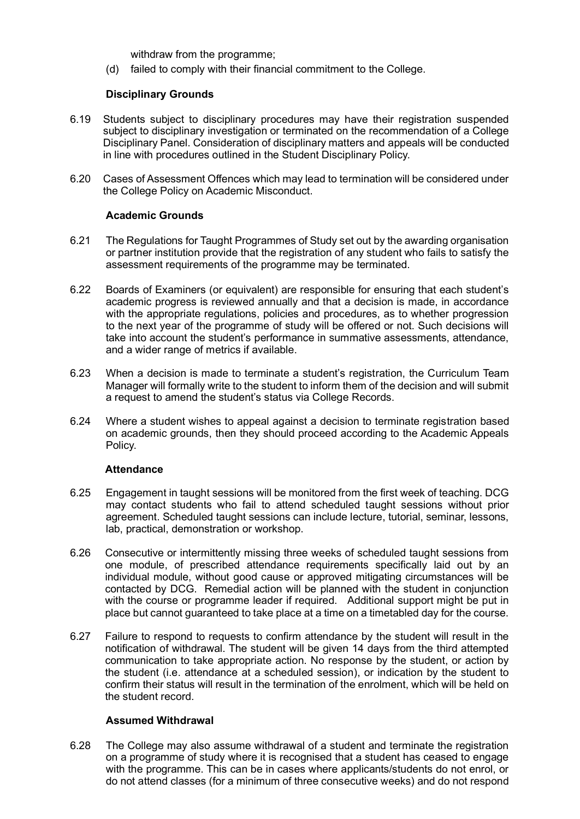withdraw from the programme;

(d) failed to comply with their financial commitment to the College.

#### **Disciplinary Grounds**

- 6.19 Students subject to disciplinary procedures may have their registration suspended subject to disciplinary investigation or terminated on the recommendation of a College Disciplinary Panel. Consideration of disciplinary matters and appeals will be conducted in line with procedures outlined in the Student Disciplinary Policy.
- 6.20 Cases of Assessment Offences which may lead to termination will be considered under the College Policy on Academic Misconduct.

#### **Academic Grounds**

- 6.21 The Regulations for Taught Programmes of Study set out by the awarding organisation or partner institution provide that the registration of any student who fails to satisfy the assessment requirements of the programme may be terminated.
- 6.22 Boards of Examiners (or equivalent) are responsible for ensuring that each student's academic progress is reviewed annually and that a decision is made, in accordance with the appropriate regulations, policies and procedures, as to whether progression to the next year of the programme of study will be offered or not. Such decisions will take into account the student's performance in summative assessments, attendance, and a wider range of metrics if available.
- 6.23 When a decision is made to terminate a student's registration, the Curriculum Team Manager will formally write to the student to inform them of the decision and will submit a request to amend the student's status via College Records.
- 6.24 Where a student wishes to appeal against a decision to terminate registration based on academic grounds, then they should proceed according to the Academic Appeals Policy.

#### **Attendance**

- 6.25 Engagement in taught sessions will be monitored from the first week of teaching. DCG may contact students who fail to attend scheduled taught sessions without prior agreement. Scheduled taught sessions can include lecture, tutorial, seminar, lessons, lab, practical, demonstration or workshop.
- 6.26 Consecutive or intermittently missing three weeks of scheduled taught sessions from one module, of prescribed attendance requirements specifically laid out by an individual module, without good cause or approved mitigating circumstances will be contacted by DCG. Remedial action will be planned with the student in conjunction with the course or programme leader if required. Additional support might be put in place but cannot guaranteed to take place at a time on a timetabled day for the course.
- 6.27 Failure to respond to requests to confirm attendance by the student will result in the notification of withdrawal. The student will be given 14 days from the third attempted communication to take appropriate action. No response by the student, or action by the student (i.e. attendance at a scheduled session), or indication by the student to confirm their status will result in the termination of the enrolment, which will be held on the student record.

#### **Assumed Withdrawal**

6.28 The College may also assume withdrawal of a student and terminate the registration on a programme of study where it is recognised that a student has ceased to engage with the programme. This can be in cases where applicants/students do not enrol, or do not attend classes (for a minimum of three consecutive weeks) and do not respond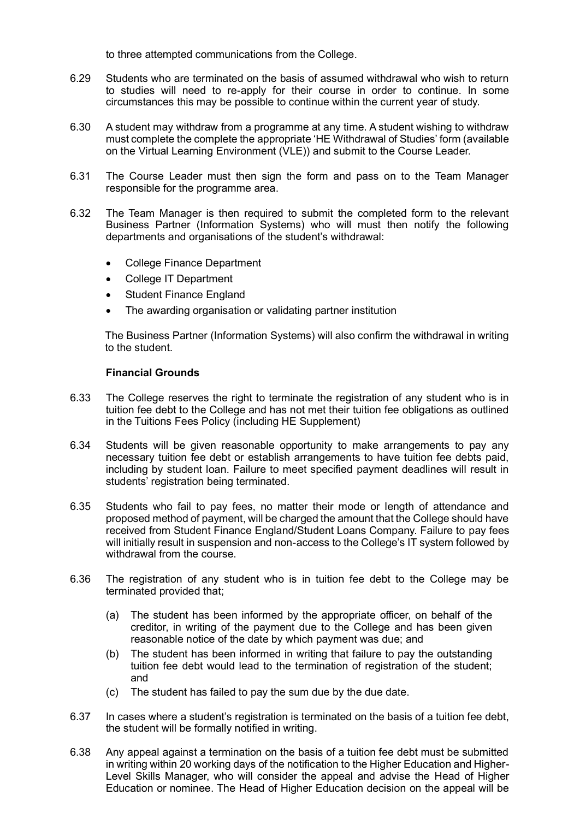to three attempted communications from the College.

- 6.29 Students who are terminated on the basis of assumed withdrawal who wish to return to studies will need to re-apply for their course in order to continue. In some circumstances this may be possible to continue within the current year of study.
- 6.30 A student may withdraw from a programme at any time. A student wishing to withdraw must complete the complete the appropriate 'HE Withdrawal of Studies' form (available on the Virtual Learning Environment (VLE)) and submit to the Course Leader.
- 6.31 The Course Leader must then sign the form and pass on to the Team Manager responsible for the programme area.
- 6.32 The Team Manager is then required to submit the completed form to the relevant Business Partner (Information Systems) who will must then notify the following departments and organisations of the student's withdrawal:
	- College Finance Department
	- College IT Department
	- **Student Finance England**
	- The awarding organisation or validating partner institution

The Business Partner (Information Systems) will also confirm the withdrawal in writing to the student.

#### **Financial Grounds**

- 6.33 The College reserves the right to terminate the registration of any student who is in tuition fee debt to the College and has not met their tuition fee obligations as outlined in the Tuitions Fees Policy (including HE Supplement)
- 6.34 Students will be given reasonable opportunity to make arrangements to pay any necessary tuition fee debt or establish arrangements to have tuition fee debts paid, including by student loan. Failure to meet specified payment deadlines will result in students' registration being terminated.
- 6.35 Students who fail to pay fees, no matter their mode or length of attendance and proposed method of payment, will be charged the amount that the College should have received from Student Finance England/Student Loans Company. Failure to pay fees will initially result in suspension and non-access to the College's IT system followed by withdrawal from the course.
- 6.36 The registration of any student who is in tuition fee debt to the College may be terminated provided that;
	- (a) The student has been informed by the appropriate officer, on behalf of the creditor, in writing of the payment due to the College and has been given reasonable notice of the date by which payment was due; and
	- (b) The student has been informed in writing that failure to pay the outstanding tuition fee debt would lead to the termination of registration of the student; and
	- (c) The student has failed to pay the sum due by the due date.
- 6.37 In cases where a student's registration is terminated on the basis of a tuition fee debt, the student will be formally notified in writing.
- 6.38 Any appeal against a termination on the basis of a tuition fee debt must be submitted in writing within 20 working days of the notification to the Higher Education and Higher-Level Skills Manager, who will consider the appeal and advise the Head of Higher Education or nominee. The Head of Higher Education decision on the appeal will be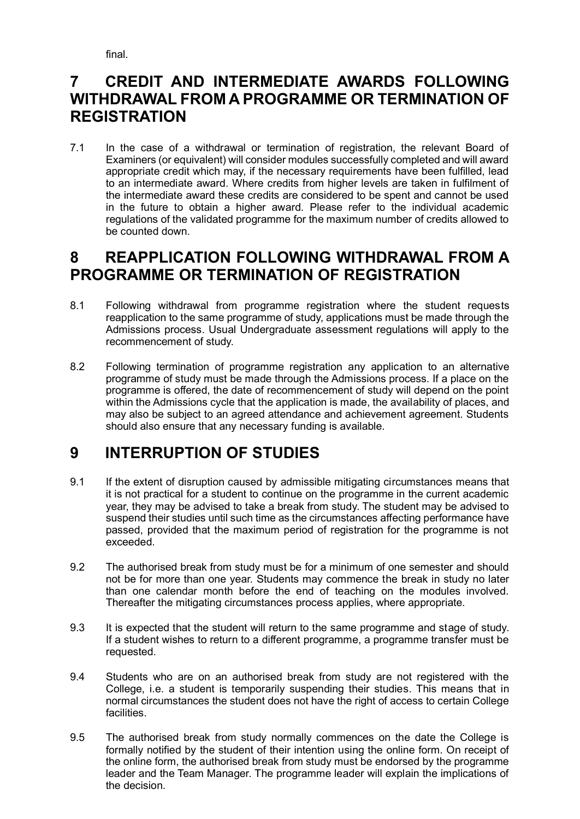final.

### <span id="page-10-0"></span>**7 CREDIT AND INTERMEDIATE AWARDS FOLLOWING WITHDRAWAL FROM A PROGRAMME OR TERMINATION OF REGISTRATION**

7.1 In the case of a withdrawal or termination of registration, the relevant Board of Examiners (or equivalent) will consider modules successfully completed and will award appropriate credit which may, if the necessary requirements have been fulfilled, lead to an intermediate award. Where credits from higher levels are taken in fulfilment of the intermediate award these credits are considered to be spent and cannot be used in the future to obtain a higher award. Please refer to the individual academic regulations of the validated programme for the maximum number of credits allowed to be counted down.

### <span id="page-10-1"></span>**8 REAPPLICATION FOLLOWING WITHDRAWAL FROM A PROGRAMME OR TERMINATION OF REGISTRATION**

- 8.1 Following withdrawal from programme registration where the student requests reapplication to the same programme of study, applications must be made through the Admissions process. Usual Undergraduate assessment regulations will apply to the recommencement of study.
- 8.2 Following termination of programme registration any application to an alternative programme of study must be made through the Admissions process. If a place on the programme is offered, the date of recommencement of study will depend on the point within the Admissions cycle that the application is made, the availability of places, and may also be subject to an agreed attendance and achievement agreement. Students should also ensure that any necessary funding is available.

### <span id="page-10-2"></span>**9 INTERRUPTION OF STUDIES**

- 9.1 If the extent of disruption caused by admissible mitigating circumstances means that it is not practical for a student to continue on the programme in the current academic year, they may be advised to take a break from study. The student may be advised to suspend their studies until such time as the circumstances affecting performance have passed, provided that the maximum period of registration for the programme is not exceeded.
- 9.2 The authorised break from study must be for a minimum of one semester and should not be for more than one year. Students may commence the break in study no later than one calendar month before the end of teaching on the modules involved. Thereafter the mitigating circumstances process applies, where appropriate.
- 9.3 It is expected that the student will return to the same programme and stage of study. If a student wishes to return to a different programme, a programme transfer must be requested.
- 9.4 Students who are on an authorised break from study are not registered with the College, i.e. a student is temporarily suspending their studies. This means that in normal circumstances the student does not have the right of access to certain College facilities.
- 9.5 The authorised break from study normally commences on the date the College is formally notified by the student of their intention using the online form. On receipt of the online form, the authorised break from study must be endorsed by the programme leader and the Team Manager. The programme leader will explain the implications of the decision.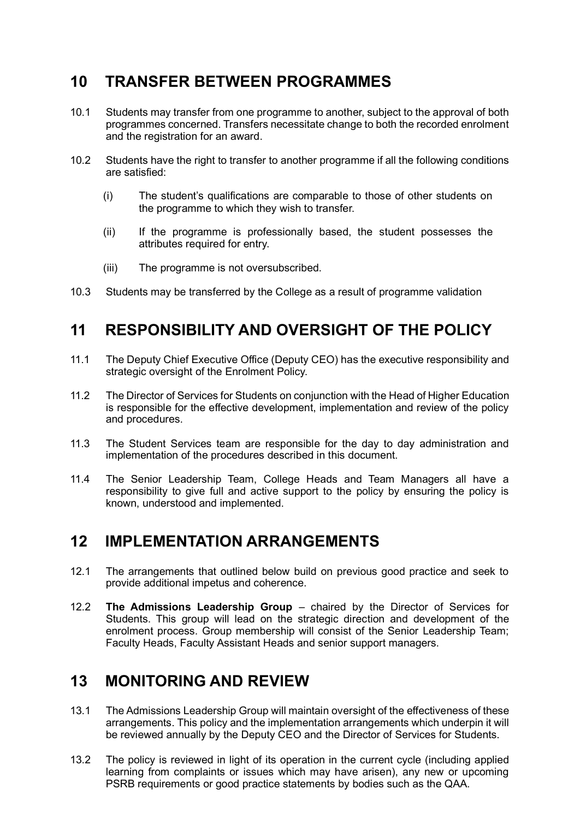### <span id="page-11-0"></span>**10 TRANSFER BETWEEN PROGRAMMES**

- 10.1 Students may transfer from one programme to another, subject to the approval of both programmes concerned. Transfers necessitate change to both the recorded enrolment and the registration for an award.
- 10.2 Students have the right to transfer to another programme if all the following conditions are satisfied:
	- (i) The student's qualifications are comparable to those of other students on the programme to which they wish to transfer.
	- (ii) If the programme is professionally based, the student possesses the attributes required for entry.
	- (iii) The programme is not oversubscribed.
- 10.3 Students may be transferred by the College as a result of programme validation

### <span id="page-11-1"></span>**11 RESPONSIBILITY AND OVERSIGHT OF THE POLICY**

- 11.1 The Deputy Chief Executive Office (Deputy CEO) has the executive responsibility and strategic oversight of the Enrolment Policy.
- 11.2 The Director of Services for Students on conjunction with the Head of Higher Education is responsible for the effective development, implementation and review of the policy and procedures.
- 11.3 The Student Services team are responsible for the day to day administration and implementation of the procedures described in this document.
- 11.4 The Senior Leadership Team, College Heads and Team Managers all have a responsibility to give full and active support to the policy by ensuring the policy is known, understood and implemented.

### <span id="page-11-2"></span>**12 IMPLEMENTATION ARRANGEMENTS**

- 12.1 The arrangements that outlined below build on previous good practice and seek to provide additional impetus and coherence.
- 12.2 **The Admissions Leadership Group** chaired by the Director of Services for Students. This group will lead on the strategic direction and development of the enrolment process. Group membership will consist of the Senior Leadership Team; Faculty Heads, Faculty Assistant Heads and senior support managers.

### <span id="page-11-3"></span>**13 MONITORING AND REVIEW**

- 13.1 The Admissions Leadership Group will maintain oversight of the effectiveness of these arrangements. This policy and the implementation arrangements which underpin it will be reviewed annually by the Deputy CEO and the Director of Services for Students.
- 13.2 The policy is reviewed in light of its operation in the current cycle (including applied learning from complaints or issues which may have arisen), any new or upcoming PSRB requirements or good practice statements by bodies such as the QAA.